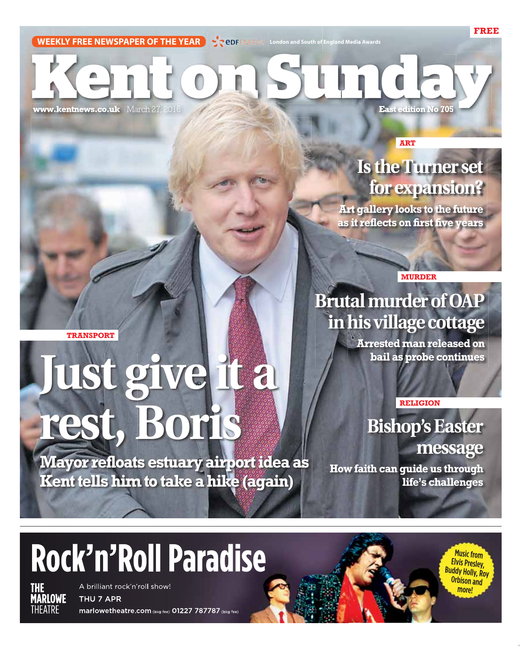# **KEERLY FREE NEWSPAPER OF THE YEAR SEEDFENERGY** London and South of England Media Awards

**www.kentnews.co.uk** March 27, 2016 **East edition No 705** 

**ART**

#### **Is the Turner set for expansion?**

**FREE**

**Art gallery looks to the future as it reflects on first five years**

**MURDER**

**Brutal murder of OAP** 

**in his village cottage** 

**TRANSPORT**

## **Just give it a rest, Boris**

**RELIGION**

**Arrested man released on bail as probe continues**

**Bishop's Easter message**

> **Music from** Elvis Presley, **Buddy Holly, Roy** Orbison and

**more!** 

**Mayor refloats estuary airport idea as Kent tells him to take a hike (again)**

**How faith can guide us through life's challenges**

### Rock'n'Roll Paradise

**THE<br>MARLOWE** THFATRF

A brilliant rock'n'roll show! THU 7 APR

marlowetheatre.com (bkg fee) 01227 787787 (bkg fee)